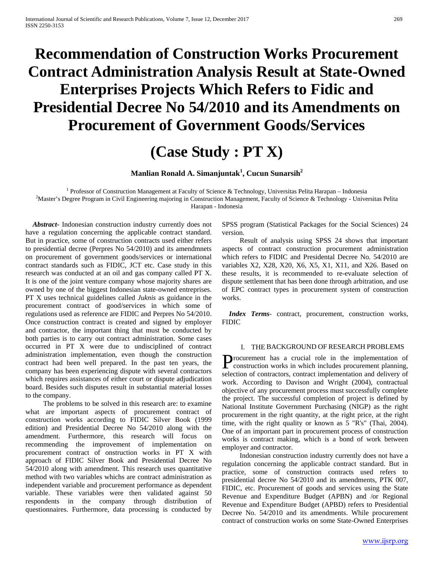# **Recommendation of Construction Works Procurement Contract Administration Analysis Result at State-Owned Enterprises Projects Which Refers to Fidic and Presidential Decree No 54/2010 and its Amendments on Procurement of Government Goods/Services**

## **(Case Study : PT X)**

**Manlian Ronald A. Simanjuntak<sup>1</sup> , Cucun Sunarsih<sup>2</sup>**

<sup>1</sup> Professor of Construction Management at Faculty of Science & Technology, Universitas Pelita Harapan – Indonesia

<sup>2</sup>Master's Degree Program in Civil Engineering majoring in Construction Management, Faculty of Science & Technology - Universitas Pelita Harapan - Indonesia

 *Abstract***-** Indonesian construction industry currently does not have a regulation concerning the applicable contract standard. But in practice, some of construction contracts used either refers to presidential decree (Perpres No 54/2010) and its amendmnets on procurement of government goods/services or international contract standards such as FIDIC, JCT etc. Case study in this research was conducted at an oil and gas company called PT X. It is one of the joint venture company whose majority shares are owned by one of the biggest Indonesian state-owned entreprises. PT X uses technical guidelines called *Juknis* as guidance in the procurement contract of good/services in which some of regulations used as reference are FIDIC and Perpres No 54/2010. Once construction contract is created and signed by employer and contractor, the important thing that must be conducted by both parties is to carry out contract administration. Some cases occurred in PT X were due to undisciplined of contract administration implementation, even though the construction contract had been well prepared. In the past ten years, the company has been experiencing dispute with several contractors which requires assistances of either court or dispute adjudication board. Besides such disputes result in substantial material losses to the company.

 The problems to be solved in this research are: to examine what are important aspects of procurement contract of construction works according to FIDIC Silver Book (1999 edition) and Presidential Decree No 54/2010 along with the amendment. Furthermore, this research will focus on recommending the improvement of implementation on procurement contract of onstruction works in PT X with approach of FIDIC Silver Book and Presidential Decree No 54/2010 along with amendment. This research uses quantitative method with two variables whichs are contract administration as independent variable and procurement performance as dependent variable. These variables were then validated against 50 respondents in the company through distribution of questionnaires. Furthermore, data processing is conducted by

SPSS program (Statistical Packages for the Social Sciences) 24 version.

 Result of analysis using SPSS 24 shows that important aspects of contract construction procurement administration which refers to FIDIC and Presidental Decree No. 54/2010 are variables X2, X28, X20, X6, X5, X1, X11, and X26. Based on these results, it is recommended to re-evaluate selection of dispute settlement that has been done through arbitration, and use of EPC contract types in procurement system of construction works.

 *Index Terms*- contract, procurement, construction works, FIDIC

#### I. THE BACKGROUND OF RESEARCH PROBLEMS

rocurement has a crucial role in the implementation of **P**rocurement has a crucial role in the implementation of construction works in which includes procurement planning, selection of contractors, contract implementation and delivery of work. According to Davison and Wright (2004), contractual objective of any procurement process must successfully complete the project. The successful completion of project is defined by National Institute Government Purchasing (NIGP) as the right procurement in the right quantity, at the right price, at the right time, with the right quality or known as 5 "R's" (Thai, 2004). One of an important part in procurement process of construction works is contract making, which is a bond of work between employer and contractor.

 Indonesian construction industry currently does not have a regulation concerning the applicable contract standard. But in practice, some of construction contracts used refers to presidential decree No 54/2010 and its amendments, PTK 007, FIDIC, etc. Procurement of goods and services using the State Revenue and Expenditure Budget (APBN) and /or Regional Revenue and Expenditure Budget (APBD) refers to Presidential Decree No. 54/2010 and its amendments. While procurement contract of construction works on some State-Owned Enterprises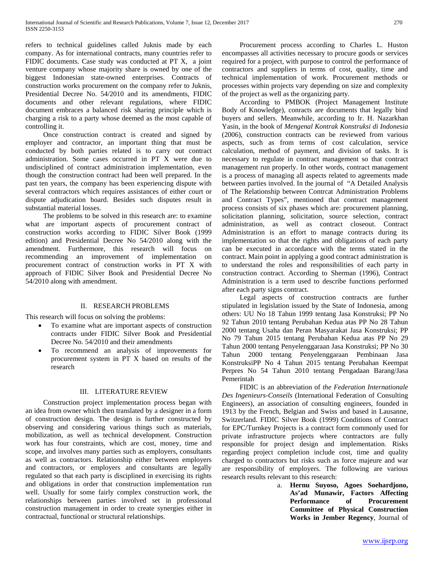refers to technical guidelines called Juknis made by each company. As for international contracts, many countries refer to FIDIC documents. Case study was conducted at PT X, a joint venture company whose majority share is owned by one of the biggest Indonesian state-owned enterprises. Contracts of construction works procurement on the company refer to Juknis, Presidential Decree No. 54/2010 and its amendments, FIDIC documents and other relevant regulations, where FIDIC document embraces a balanced risk sharing principle which is charging a risk to a party whose deemed as the most capable of controlling it.

 Once construction contract is created and signed by employer and contractor, an important thing that must be conducted by both parties related is to carry out contract administration. Some cases occurred in PT X were due to undisciplined of contract administration implementation, even though the construction contract had been well prepared. In the past ten years, the company has been experiencing dispute with several contractors which requires assistances of either court or dispute adjudication board. Besides such disputes result in substantial material losses.

 The problems to be solved in this research are: to examine what are important aspects of procurement contract of construction works according to FIDIC Silver Book (1999 edition) and Presidential Decree No 54/2010 along with the amendment. Furthermore, this research will focus on recommending an improvement of implementation on procurement contract of construction works in PT X with approach of FIDIC Silver Book and Presidential Decree No 54/2010 along with amendment.

#### II. RESEARCH PROBLEMS

This research will focus on solving the problems:

- To examine what are important aspects of construction contracts under FIDIC Silver Book and Presidential Decree No. 54/2010 and their amendments
- To recommend an analysis of improvements for procurement system in PT X based on results of the research

#### III. LITERATURE REVIEW

 Construction project implementation process began with an idea from owner which then translated by a designer in a form of construction design. The design is further constructed by observing and considering various things such as materials, mobilization, as well as technical development. Construction work has four constraints, which are cost, money, time and scope, and involves many parties such as employers, consultants as well as contractors. Relationship either between employers and contractors, or employers and consultants are legally regulated so that each party is disciplined in exercising its rights and obligations in order that construction implementation run well. Usually for some fairly complex construction work, the relationships between parties involved set in professional construction management in order to create synergies either in contractual, functional or structural relationships.

 Procurement process according to Charles L. Huston encompasses all activities necessary to procure goods or services required for a project, with purpose to control the performance of contractors and suppliers in terms of cost, quality, time and technical implementation of work. Procurement methods or processes within projects vary depending on size and complexity of the project as well as the organizing party.

 According to PMBOK (Project Management Institute Body of Knowledge), conracts are documents that legally bind buyers and sellers. Meanwhile, according to Ir. H. Nazarkhan Yasin, in the book of *Mengenal Kontrak Konstruksi di Indonesia* (2006), construction contracts can be reviewed from various aspects, such as from terms of cost calculation, service calculation, method of payment, and division of tasks. It is necessary to regulate in contract management so that contract management run properly. In other words, contract management is a process of managing all aspects related to agreements made between parties involved. In the journal of "A Detailed Analysis of The Relationship between Contrcat Administration Problems and Contract Types", mentioned that contract management process consists of six phases which are: procurement planning, solicitation planning, solicitation, source selection, contract administration, as well as contract closeout. Contract Administration is an effort to manage contracts during its implementation so that the rights and obligations of each party can be executed in accordance with the terms stated in the contract. Main point in applying a good contract administration is to understand the roles and responsibilities of each party in construction contract. According to Sherman (1996), Contract Administration is a term used to describe functions performed after each party signs contract.

 Legal aspects of construction contracts are further stipulated in legislation issued by the State of Indonesia, among others: UU No 18 Tahun 1999 tentang Jasa Konstruksi; PP No 92 Tahun 2010 tentang Perubahan Kedua atas PP No 28 Tahun 2000 tentang Usaha dan Peran Masyarakat Jasa Konstruksi; PP No 79 Tahun 2015 tentang Perubahan Kedua atas PP No 29 Tahun 2000 tentang Penyelenggaraan Jasa Konstruksi; PP No 30 Tahun 2000 tentang Penyelenggaraan Pembinaan Jasa KonstruksiPP No 4 Tahun 2015 tentang Perubahan Keempat Perpres No 54 Tahun 2010 tentang Pengadaan Barang/Jasa Pemerintah

 FIDIC is an abbreviation of *the Federation Internationale Des Ingenieurs-Conseils* (International Federation of Consulting Engineers), an association of consulting engineers, founded in 1913 by the French, Belgian and Swiss and based in Lausanne, Switzerland. FIDIC Silver Book (1999) Conditions of Contract for EPC/Turnkey Projects is a contract form commonly used for private infrastructure projects where contractors are fully responsible for project design and implementation. Risks regarding project completion include cost, time and quality charged to contractors but risks such as force majeure and war are responsibility of employers. The following are various research results relevant to this research:

a. **Hernu Suyoso, Agoes Soehardjono, As'ad Munawir, Factors Affecting Performance of Procurement Committee of Physical Construction Works in Jember Regency**, Journal of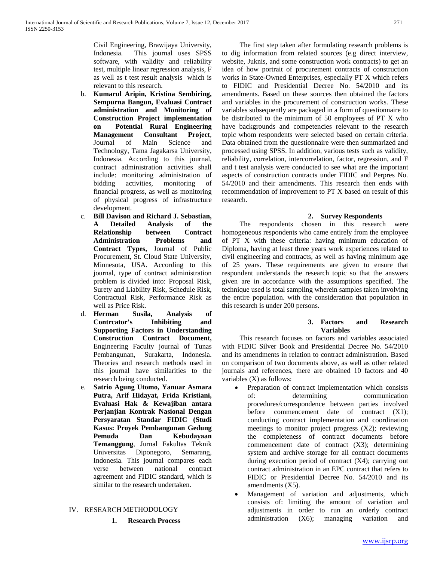Civil Engineering, Brawijaya University, Indonesia. This journal uses SPSS software, with validity and reliability test, multiple linear regression analysis, F as well as t test result analysis which is relevant to this research.

- b. **Kumarul Aripin, Kristina Sembiring, Sempurna Bangun, Evaluasi Contract administration and Monitoring of Construction Project implementation on Potential Rural Engineering Management Consultant Project***,*  Journal of Main Science and Technology, Tama Jagakarsa University, Indonesia. According to this journal, contract administration activities shall include: monitoring administration of bidding activities, monitoring of financial progress, as well as monitoring of physical progress of infrastructure development.
- c. **Bill Davison and Richard J. Sebastian, A Detailed Analysis of the Relationship between Contract Administration Problems and Contract Types,** Journal of Public Procurement, St. Cloud State University, Minnesota, USA. According to this journal, type of contract administration problem is divided into: Proposal Risk, Surety and Liability Risk, Schedule Risk, Contractual Risk, Performance Risk as well as Price Risk.
- d. **Herman Susila, Analysis of Contrcator's Inhibiting and Supporting Factors in Understanding Construction Contract Document,**  Engineering Faculty journal of Tunas Pembangunan, Surakarta, Indonesia. Theories and research methods used in this journal have similarities to the research being conducted.
- e. **Satrio Agung Utomo, Yanuar Asmara Putra, Arif Hidayat, Frida Kristiani, Evaluasi Hak & Kewajiban antara Perjanjian Kontrak Nasional Dengan Persyaratan Standar FIDIC (Studi Kasus: Proyek Pembangunan Gedung Pemuda Dan Kebudayaan Temanggung**, Jurnal Fakultas Teknik Universitas Diponegoro, Semarang, Indonesia. This journal compares each verse between national contract agreement and FIDIC standard, which is similar to the research undertaken.

## IV. RESEARCH METHODOLOGY

**1. Research Process**

 The first step taken after formulating research problems is to dig information from related sources (e.g direct interview, website, Juknis, and some construction work contracts) to get an idea of how portrait of procurement contracts of construction works in State-Owned Enterprises, especially PT X which refers to FIDIC and Presidential Decree No. 54/2010 and its amendments. Based on these sources then obtained the factors and variables in the procurement of construction works. These variables subsequently are packaged in a form of questionnaire to be distributed to the minimum of 50 employees of PT X who have backgrounds and competencies relevant to the research topic whom respondents were selected based on certain criteria. Data obtained from the questionnaire were then summarized and processed using SPSS. In addition, various tests such as validity, reliability, correlation, intercorrelation, factor, regression, and F and t test analysis were conducted to see what are the important aspects of construction contracts under FIDIC and Perpres No. 54/2010 and their amendments. This research then ends with recommendation of improvement to PT X based on result of this research.

#### **2. Survey Respondents**

 The respondents chosen in this research were homogeneous respondents who came entirely from the employee of PT X with these criteria: having minimum education of Diploma, having at least three years work experiences related to civil engineering and contracts, as well as having minimum age of 25 years. These requirements are given to ensure that respondent understands the research topic so that the answers given are in accordance with the assumptions specified. The technique used is total sampling wherein samples taken involving the entire population. with the consideration that population in this research is under 200 persons.

## **3. Factors and Research Variables**

 This research focuses on factors and variables associated with FIDIC Silver Book and Presidential Decree No. 54/2010 and its amendments in relation to contract administration. Based on comparison of two documents above, as well as other related journals and references, there are obtained 10 factors and 40 variables (X) as follows:

- Preparation of contract implementation which consists of: determining communication procedures/correspondence between parties involved before commencement date of contract  $(X1)$ ; conducting contract implementation and coordination meetings to monitor project progress (X2); reviewing the completeness of contract documents before commencement date of contract (X3); determining system and archive storage for all contract documents during execution period of contract (X4); carrying out contract administration in an EPC contract that refers to FIDIC or Presidential Decree No. 54/2010 and its amendments (X5).
- Management of variation and adjustments, which consists of: limiting the amount of variation and adjustments in order to run an orderly contract administration (X6); managing variation and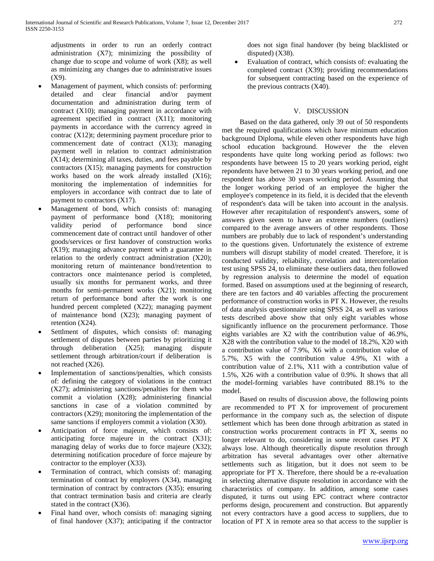adjustments in order to run an orderly contract administration (X7); minimizing the possibility of change due to scope and volume of work (X8); as well as minimizing any changes due to administrative issues (X9).

- Management of payment, which consists of: performing detailed and clear financial and/or payment documentation and administration during term of contract (X10); managing payment in accordance with agreement specified in contract (X11); monitoring payments in accordance with the currency agreed in contrac (X12)t; determining payment procedure prior to commencement date of contract (X13); managing payment well in relation to contract administration (X14); determining all taxes, duties, and fees payable by contractors (X15); managing payments for construction works based on the work already installed (X16); monitoring the implementation of indemnities for employers in accordance with contract due to late of payment to contractors (X17).
- Management of bond, which consists of: managing payment of performance bond (X18); monitoring validity period of performance bond since commencement date of contract until handover of other goods/services or first handover of construction works (X19); managing advance payment with a guarantee in relation to the orderly contract administration (X20); monitoring return of maintenance bond/retention to contractors once maintenance period is completed, usually six months for permanent works, and three months for semi-permanent works (X21); monitoring return of performance bond after the work is one hundred percent completed (X22); managing payment of maintenance bond (X23); managing payment of retention (X24).
- Settlment of disputes, which consists of: managing settlement of disputes between parties by prioritizing it through deliberation (X25); managing dispute settlement through arbitration/court if deliberation is not reached (X26).
- Implementation of sanctions/penalties, which consists of: defining the category of violations in the contract (X27); administering sanctions/penalties for them who commit a violation (X28); administering financial sanctions in case of a violation committed by contractors (X29); monitoring the implementation of the same sanctions if employers commit a violation (X30).
- Anticipation of force majeure, which consists of: anticipating force majeure in the contract (X31); managing delay of works due to force majeure  $(X32)$ ; determining notification procedure of force majeure by contractor to the employer (X33).
- Termination of contract, which consists of: managing termination of contract by employers (X34), managing termination of contract by contractors (X35); ensuring that contract termination basis and criteria are clearly stated in the contract (X36).
- Final hand over, whoch consists of: managing signing of final handover (X37); anticipating if the contractor

does not sign final handover (by being blacklisted or disputed) (X38).

• Evaluation of contract, which consists of: evaluating the completed contract (X39); providing recommendations for subsequent contracting based on the experience of the previous contracts (X40).

## V. DISCUSSION

 Based on the data gathered, only 39 out of 50 respondents met the required qualifications which have minimum education background Diploma, while eleven other respondents have high school education background. However the the eleven respondents have quite long working period as follows: two respondents have between 15 to 20 years working period, eight repondents have between 21 to 30 years working period, and one respondent has above 30 years working period. Assuming that the longer working period of an employee the higher the employee's competence in its field, it is decided that the eleventh of respondent's data will be taken into account in the analysis. However after recapitulation of respondent's answers, some of answers given seem to have an extreme numbers (outliers) compared to the average answers of other respondents. Those numbers are probably due to lack of respondent's understanding to the questions given. Unfortunately the existence of extreme numbers will disrupt stability of model created. Therefore, it is conducted validity, reliability, correlation and intercorrelation test using SPSS 24, to eliminate these outliers data, then followed by regression analysis to determine the model of equation formed. Based on assumptions used at the beginning of research, there are ten factors and 40 variables affecting the procurement performance of construction works in PT X. However, the results of data analysis questionnaire using SPSS 24, as well as various tests described above show that only eight variables whose significantly influence on the procurement performance. Those eights variables are X2 with the contribution value of 46.9%, X28 with the contribution value to the model of 18.2%, X20 with a contribution value of 7.9%, X6 with a contribution value of 5.7%, X5 with the contribution value 4.9%, X1 with a contribution value of 2.1%, X11 with a contribution value of 1.5%, X26 with a contribution value of 0.9%. It shows that all the model-forming variables have contributed 88.1% to the model.

 Based on results of discussion above, the following points are recommended to PT X for improvement of procurement performance in the company such as, the selection of dispute settlement which has been done through arbitration as stated in construction works procurement contracts in PT X, seems no longer relevant to do, considering in some recent cases PT X always lose. Although theoretically dispute resolution through arbitration has several advantages over other alternative settlements such as litigation, but it does not seem to be appropriate for PT X. Therefore, there should be a re-evaluation in selecting alternative dispute resolution in accordance with the characteristics of company. In addition, among some cases disputed, it turns out using EPC contract where contractor performs design, procurement and construction. But apparently not every contractors have a good access to suppliers, due to location of PT X in remote area so that access to the supplier is